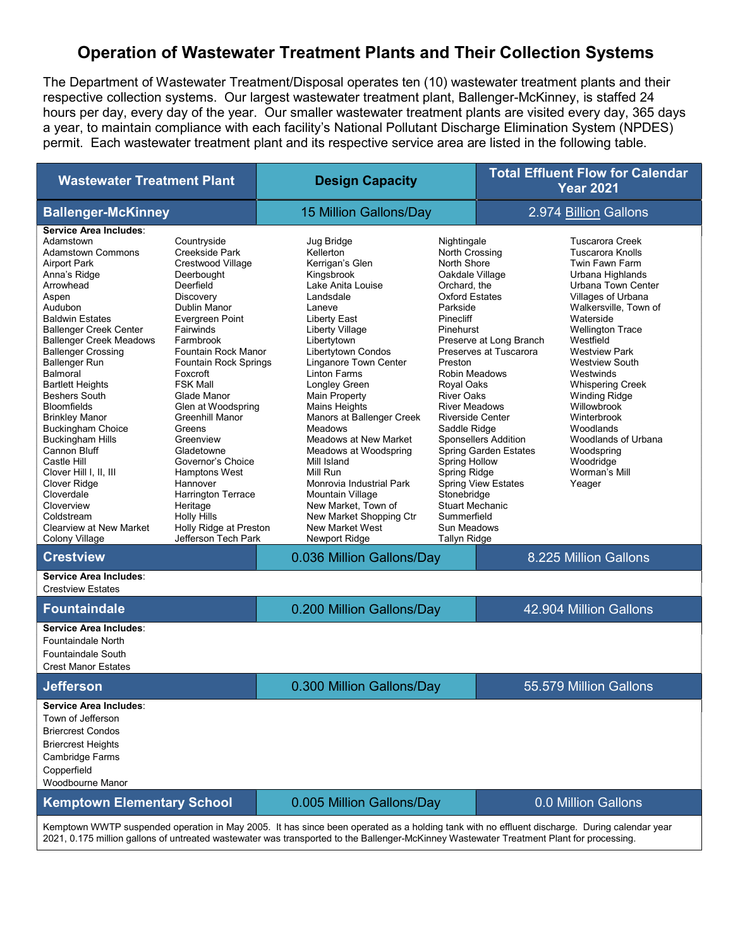## Operation of Wastewater Treatment Plants and Their Collection Systems

The Department of Wastewater Treatment/Disposal operates ten (10) wastewater treatment plants and their respective collection systems. Our largest wastewater treatment plant, Ballenger-McKinney, is staffed 24 hours per day, every day of the year. Our smaller wastewater treatment plants are visited every day, 365 days a year, to maintain compliance with each facility's National Pollutant Discharge Elimination System (NPDES) permit. Each wastewater treatment plant and its respective service area are listed in the following table.

| <b>Wastewater Treatment Plant</b>                                                                                                                                                                                                                                                                                                                                                                                                                                                                                                                                                                                                            |                                                                                                                                                                                                                                                                                                                                                                                                                                                                                                                                   | <b>Design Capacity</b>                                                                                                                                                                                                                                                                                                                                                                                                                                                                                                                                   |                                                                                                                                                                                                                                                                                                                                                                                                                                      | <b>Total Effluent Flow for Calendar</b><br><b>Year 2021</b>                                                                                    |                                                                                                                                                                                                                                                                                                                                                                                                                                                            |  |
|----------------------------------------------------------------------------------------------------------------------------------------------------------------------------------------------------------------------------------------------------------------------------------------------------------------------------------------------------------------------------------------------------------------------------------------------------------------------------------------------------------------------------------------------------------------------------------------------------------------------------------------------|-----------------------------------------------------------------------------------------------------------------------------------------------------------------------------------------------------------------------------------------------------------------------------------------------------------------------------------------------------------------------------------------------------------------------------------------------------------------------------------------------------------------------------------|----------------------------------------------------------------------------------------------------------------------------------------------------------------------------------------------------------------------------------------------------------------------------------------------------------------------------------------------------------------------------------------------------------------------------------------------------------------------------------------------------------------------------------------------------------|--------------------------------------------------------------------------------------------------------------------------------------------------------------------------------------------------------------------------------------------------------------------------------------------------------------------------------------------------------------------------------------------------------------------------------------|------------------------------------------------------------------------------------------------------------------------------------------------|------------------------------------------------------------------------------------------------------------------------------------------------------------------------------------------------------------------------------------------------------------------------------------------------------------------------------------------------------------------------------------------------------------------------------------------------------------|--|
| <b>Ballenger-McKinney</b>                                                                                                                                                                                                                                                                                                                                                                                                                                                                                                                                                                                                                    |                                                                                                                                                                                                                                                                                                                                                                                                                                                                                                                                   | 15 Million Gallons/Day                                                                                                                                                                                                                                                                                                                                                                                                                                                                                                                                   |                                                                                                                                                                                                                                                                                                                                                                                                                                      | 2.974 Billion Gallons                                                                                                                          |                                                                                                                                                                                                                                                                                                                                                                                                                                                            |  |
| Service Area Includes:<br>Adamstown<br><b>Adamstown Commons</b><br><b>Airport Park</b><br>Anna's Ridge<br>Arrowhead<br>Aspen<br>Audubon<br><b>Baldwin Estates</b><br><b>Ballenger Creek Center</b><br><b>Ballenger Creek Meadows</b><br><b>Ballenger Crossing</b><br><b>Ballenger Run</b><br>Balmoral<br><b>Bartlett Heights</b><br><b>Beshers South</b><br><b>Bloomfields</b><br><b>Brinkley Manor</b><br><b>Buckingham Choice</b><br><b>Buckingham Hills</b><br><b>Cannon Bluff</b><br>Castle Hill<br>Clover Hill I, II, III<br>Clover Ridge<br>Cloverdale<br>Cloverview<br>Coldstream<br><b>Clearview at New Market</b><br>Colony Village | Countryside<br>Creekside Park<br>Crestwood Village<br>Deerbought<br>Deerfield<br><b>Discovery</b><br>Dublin Manor<br>Evergreen Point<br>Fairwinds<br>Farmbrook<br>Fountain Rock Manor<br><b>Fountain Rock Springs</b><br>Foxcroft<br><b>FSK Mall</b><br>Glade Manor<br>Glen at Woodspring<br><b>Greenhill Manor</b><br>Greens<br>Greenview<br>Gladetowne<br>Governor's Choice<br><b>Hamptons West</b><br>Hannover<br><b>Harrington Terrace</b><br>Heritage<br><b>Holly Hills</b><br>Holly Ridge at Preston<br>Jefferson Tech Park | Jug Bridge<br>Kellerton<br>Kerrigan's Glen<br>Kingsbrook<br>Lake Anita Louise<br>Landsdale<br>Laneve<br>Liberty East<br>Liberty Village<br>Libertytown<br>Libertytown Condos<br>Linganore Town Center<br><b>Linton Farms</b><br>Longley Green<br>Main Property<br><b>Mains Heights</b><br>Manors at Ballenger Creek<br><b>Meadows</b><br>Meadows at New Market<br>Meadows at Woodspring<br>Mill Island<br>Mill Run<br>Monrovia Industrial Park<br>Mountain Village<br>New Market, Town of<br>New Market Shopping Ctr<br>New Market West<br>Newport Ridge | Nightingale<br>North Crossing<br>North Shore<br>Oakdale Village<br>Orchard, the<br><b>Oxford Estates</b><br>Parkside<br>Pinecliff<br>Pinehurst<br>Preston<br><b>Robin Meadows</b><br>Royal Oaks<br><b>River Oaks</b><br><b>River Meadows</b><br><b>Riverside Center</b><br>Saddle Ridge<br><b>Spring Hollow</b><br><b>Spring Ridge</b><br>Stonebridge<br><b>Stuart Mechanic</b><br>Summerfield<br>Sun Meadows<br><b>Tallyn Ridge</b> | Preserve at Long Branch<br>Preserves at Tuscarora<br><b>Sponsellers Addition</b><br><b>Spring Garden Estates</b><br><b>Spring View Estates</b> | <b>Tuscarora Creek</b><br><b>Tuscarora Knolls</b><br>Twin Fawn Farm<br>Urbana Highlands<br>Urbana Town Center<br>Villages of Urbana<br>Walkersville, Town of<br>Waterside<br><b>Wellington Trace</b><br>Westfield<br><b>Westview Park</b><br><b>Westview South</b><br>Westwinds<br><b>Whispering Creek</b><br><b>Winding Ridge</b><br>Willowbrook<br>Winterbrook<br>Woodlands<br>Woodlands of Urbana<br>Woodspring<br>Woodridge<br>Worman's Mill<br>Yeager |  |
| <b>Crestview</b>                                                                                                                                                                                                                                                                                                                                                                                                                                                                                                                                                                                                                             |                                                                                                                                                                                                                                                                                                                                                                                                                                                                                                                                   | 0.036 Million Gallons/Day                                                                                                                                                                                                                                                                                                                                                                                                                                                                                                                                |                                                                                                                                                                                                                                                                                                                                                                                                                                      |                                                                                                                                                | 8.225 Million Gallons                                                                                                                                                                                                                                                                                                                                                                                                                                      |  |
| Service Area Includes:<br><b>Crestview Estates</b>                                                                                                                                                                                                                                                                                                                                                                                                                                                                                                                                                                                           |                                                                                                                                                                                                                                                                                                                                                                                                                                                                                                                                   |                                                                                                                                                                                                                                                                                                                                                                                                                                                                                                                                                          |                                                                                                                                                                                                                                                                                                                                                                                                                                      |                                                                                                                                                |                                                                                                                                                                                                                                                                                                                                                                                                                                                            |  |
| <b>Fountaindale</b>                                                                                                                                                                                                                                                                                                                                                                                                                                                                                                                                                                                                                          |                                                                                                                                                                                                                                                                                                                                                                                                                                                                                                                                   | 0.200 Million Gallons/Day                                                                                                                                                                                                                                                                                                                                                                                                                                                                                                                                |                                                                                                                                                                                                                                                                                                                                                                                                                                      |                                                                                                                                                | 42.904 Million Gallons                                                                                                                                                                                                                                                                                                                                                                                                                                     |  |
| Service Area Includes:<br><b>Fountaindale North</b><br><b>Fountaindale South</b><br><b>Crest Manor Estates</b>                                                                                                                                                                                                                                                                                                                                                                                                                                                                                                                               |                                                                                                                                                                                                                                                                                                                                                                                                                                                                                                                                   |                                                                                                                                                                                                                                                                                                                                                                                                                                                                                                                                                          |                                                                                                                                                                                                                                                                                                                                                                                                                                      |                                                                                                                                                |                                                                                                                                                                                                                                                                                                                                                                                                                                                            |  |
| <b>Jefferson</b>                                                                                                                                                                                                                                                                                                                                                                                                                                                                                                                                                                                                                             |                                                                                                                                                                                                                                                                                                                                                                                                                                                                                                                                   | 0.300 Million Gallons/Day                                                                                                                                                                                                                                                                                                                                                                                                                                                                                                                                |                                                                                                                                                                                                                                                                                                                                                                                                                                      |                                                                                                                                                | 55.579 Million Gallons                                                                                                                                                                                                                                                                                                                                                                                                                                     |  |
| Service Area Includes:<br>Town of Jefferson<br><b>Briercrest Condos</b><br><b>Briercrest Heights</b><br>Cambridge Farms<br>Copperfield<br>Woodbourne Manor                                                                                                                                                                                                                                                                                                                                                                                                                                                                                   |                                                                                                                                                                                                                                                                                                                                                                                                                                                                                                                                   |                                                                                                                                                                                                                                                                                                                                                                                                                                                                                                                                                          |                                                                                                                                                                                                                                                                                                                                                                                                                                      |                                                                                                                                                |                                                                                                                                                                                                                                                                                                                                                                                                                                                            |  |
| <b>Kemptown Elementary School</b>                                                                                                                                                                                                                                                                                                                                                                                                                                                                                                                                                                                                            |                                                                                                                                                                                                                                                                                                                                                                                                                                                                                                                                   | 0.005 Million Gallons/Day                                                                                                                                                                                                                                                                                                                                                                                                                                                                                                                                |                                                                                                                                                                                                                                                                                                                                                                                                                                      |                                                                                                                                                | 0.0 Million Gallons                                                                                                                                                                                                                                                                                                                                                                                                                                        |  |
| Kemptown WWTP suspended operation in May 2005. It has since been operated as a holding tank with no effluent discharge. During calendar year                                                                                                                                                                                                                                                                                                                                                                                                                                                                                                 |                                                                                                                                                                                                                                                                                                                                                                                                                                                                                                                                   |                                                                                                                                                                                                                                                                                                                                                                                                                                                                                                                                                          |                                                                                                                                                                                                                                                                                                                                                                                                                                      |                                                                                                                                                |                                                                                                                                                                                                                                                                                                                                                                                                                                                            |  |

2021, 0.175 million gallons of untreated wastewater was transported to the Ballenger-McKinney Wastewater Treatment Plant for processing.